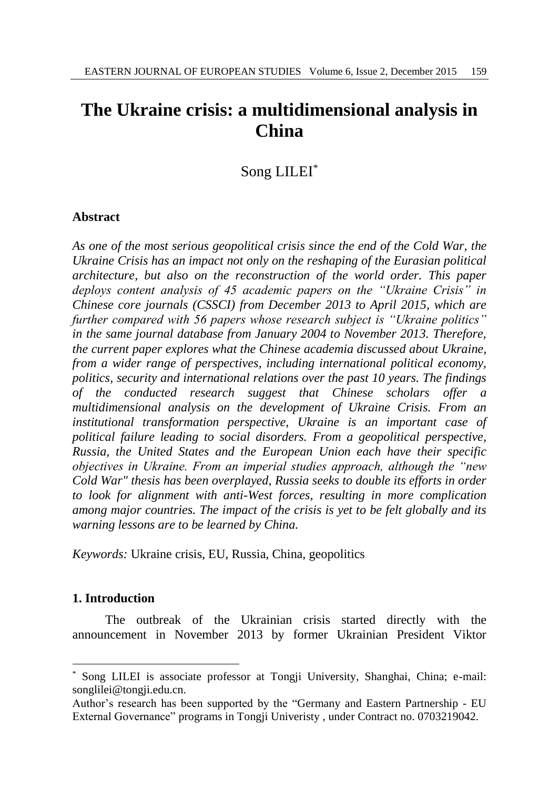# **The Ukraine crisis: a multidimensional analysis in China**

Song LILEI\*

## **Abstract**

*As one of the most serious geopolitical crisis since the end of the Cold War, the Ukraine Crisis has an impact not only on the reshaping of the Eurasian political architecture, but also on the reconstruction of the world order. This paper deploys content analysis of 45 academic papers on the "Ukraine Crisis" in Chinese core journals (CSSCI) from December 2013 to April 2015, which are further compared with 56 papers whose research subject is "Ukraine politics" in the same journal database from January 2004 to November 2013. Therefore, the current paper explores what the Chinese academia discussed about Ukraine, from a wider range of perspectives, including international political economy, politics, security and international relations over the past 10 years. The findings of the conducted research suggest that Chinese scholars offer a multidimensional analysis on the development of Ukraine Crisis. From an institutional transformation perspective, Ukraine is an important case of political failure leading to social disorders. From a geopolitical perspective, Russia, the United States and the European Union each have their specific objectives in Ukraine. From an imperial studies approach, although the "new Cold War" thesis has been overplayed, Russia seeks to double its efforts in order to look for alignment with anti-West forces, resulting in more complication among major countries. The impact of the crisis is yet to be felt globally and its warning lessons are to be learned by China.*

*Keywords:* Ukraine crisis, EU, Russia, China, geopolitics

## **1. Introduction**

 $\overline{a}$ 

The outbreak of the Ukrainian crisis started directly with the announcement in November 2013 by former Ukrainian President Viktor

Song LILEI is associate professor at Tongji University, Shanghai, China; e-mail: songlilei@tongji.edu.cn.

Author's research has been supported by the "Germany and Eastern Partnership - EU External Governance" programs in Tongji Univeristy , under Contract no. 0703219042.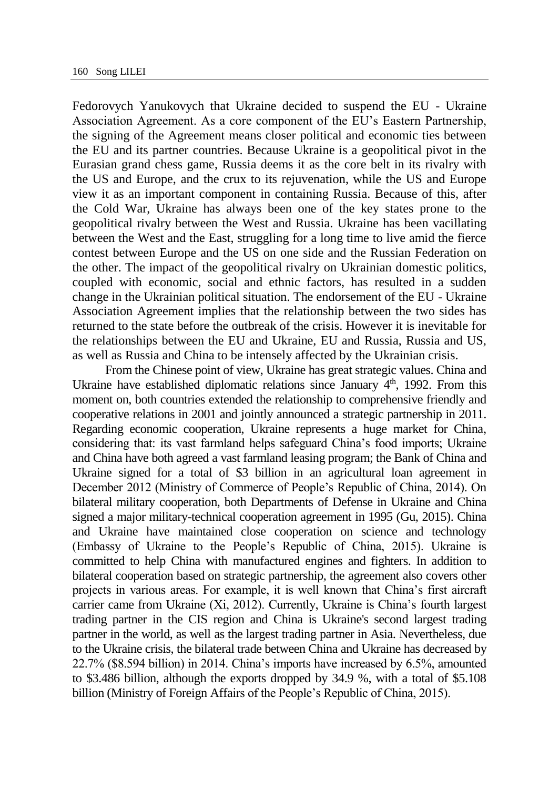Fedorovych Yanukovych that Ukraine decided to suspend the EU - Ukraine Association Agreement. As a core component of the EU's Eastern Partnership, the signing of the Agreement means closer political and economic ties between the EU and its partner countries. Because Ukraine is a geopolitical pivot in the Eurasian grand chess game, Russia deems it as the core belt in its rivalry with the US and Europe, and the crux to its rejuvenation, while the US and Europe view it as an important component in containing Russia. Because of this, after the Cold War, Ukraine has always been one of the key states prone to the geopolitical rivalry between the West and Russia. Ukraine has been vacillating between the West and the East, struggling for a long time to live amid the fierce contest between Europe and the US on one side and the Russian Federation on the other. The impact of the geopolitical rivalry on Ukrainian domestic politics, coupled with economic, social and ethnic factors, has resulted in a sudden change in the Ukrainian political situation. The endorsement of the EU - Ukraine Association Agreement implies that the relationship between the two sides has returned to the state before the outbreak of the crisis. However it is inevitable for the relationships between the EU and Ukraine, EU and Russia, Russia and US, as well as Russia and China to be intensely affected by the Ukrainian crisis.

From the Chinese point of view, Ukraine has great strategic values. China and Ukraine have established diplomatic relations since January  $4<sup>th</sup>$ , 1992. From this moment on, both countries extended the relationship to comprehensive friendly and cooperative relations in 2001 and jointly announced a strategic partnership in 2011. Regarding economic cooperation, Ukraine represents a huge market for China, considering that: its vast farmland helps safeguard China's food imports; Ukraine and China have both agreed a vast farmland leasing program; the Bank of China and Ukraine signed for a total of \$3 billion in an agricultural loan agreement in December 2012 (Ministry of Commerce of People's Republic of China, 2014). On bilateral military cooperation, both Departments of Defense in Ukraine and China signed a major military-technical cooperation agreement in 1995 (Gu, 2015). China and Ukraine have maintained close cooperation on science and technology (Embassy of Ukraine to the People's Republic of China, 2015). Ukraine is committed to help China with manufactured engines and fighters. In addition to bilateral cooperation based on strategic partnership, the agreement also covers other projects in various areas. For example, it is well known that China's first aircraft carrier came from Ukraine (Xi, 2012). Currently, Ukraine is China's fourth largest trading partner in the CIS region and China is Ukraine's second largest trading partner in the world, as well as the largest trading partner in Asia. Nevertheless, due to the Ukraine crisis, the bilateral trade between China and Ukraine has decreased by 22.7% (\$8.594 billion) in 2014. China's imports have increased by 6.5%, amounted to \$3.486 billion, although the exports dropped by 34.9 %, with a total of \$5.108 billion (Ministry of Foreign Affairs of the People's Republic of China, 2015).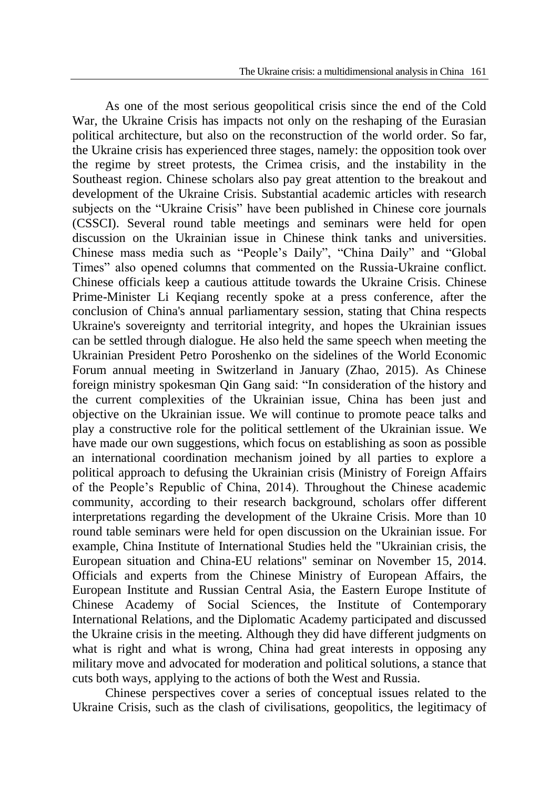As one of the most serious geopolitical crisis since the end of the Cold War, the Ukraine Crisis has impacts not only on the reshaping of the Eurasian political architecture, but also on the reconstruction of the world order. So far, the Ukraine crisis has experienced three stages, namely: the opposition took over the regime by street protests, the Crimea crisis, and the instability in the Southeast region. Chinese scholars also pay great attention to the breakout and development of the Ukraine Crisis. Substantial academic articles with research subjects on the "Ukraine Crisis" have been published in Chinese core journals (CSSCI). Several round table meetings and seminars were held for open discussion on the Ukrainian issue in Chinese think tanks and universities. Chinese mass media such as "People's Daily", "China Daily" and "Global Times" also opened columns that commented on the Russia-Ukraine conflict. Chinese officials keep a cautious attitude towards the Ukraine Crisis. Chinese Prime-Minister Li Keqiang recently spoke at a press conference, after the conclusion of China's annual parliamentary session, stating that China respects Ukraine's sovereignty and territorial integrity, and hopes the Ukrainian issues can be settled through dialogue. He also held the same speech when meeting the Ukrainian President Petro Poroshenko on the sidelines of the World Economic Forum annual meeting in Switzerland in January (Zhao, 2015). As Chinese foreign ministry spokesman Qin Gang said: "In consideration of the history and the current complexities of the Ukrainian issue, China has been just and objective on the Ukrainian issue. We will continue to promote peace talks and play a constructive role for the political settlement of the Ukrainian issue. We have made our own suggestions, which focus on establishing as soon as possible an international coordination mechanism joined by all parties to explore a political approach to defusing the Ukrainian crisis (Ministry of Foreign Affairs of the People's Republic of China, 2014). Throughout the Chinese academic community, according to their research background, scholars offer different interpretations regarding the development of the Ukraine Crisis. More than 10 round table seminars were held for open discussion on the Ukrainian issue. For example, China Institute of International Studies held the "Ukrainian crisis, the European situation and China-EU relations" seminar on November 15, 2014. Officials and experts from the Chinese Ministry of European Affairs, the European Institute and Russian Central Asia, the Eastern Europe Institute of Chinese Academy of Social Sciences, the Institute of Contemporary International Relations, and the Diplomatic Academy participated and discussed the Ukraine crisis in the meeting. Although they did have different judgments on what is right and what is wrong, China had great interests in opposing any military move and advocated for moderation and political solutions, a stance that cuts both ways, applying to the actions of both the West and Russia.

Chinese perspectives cover a series of conceptual issues related to the Ukraine Crisis, such as the clash of civilisations, geopolitics, the legitimacy of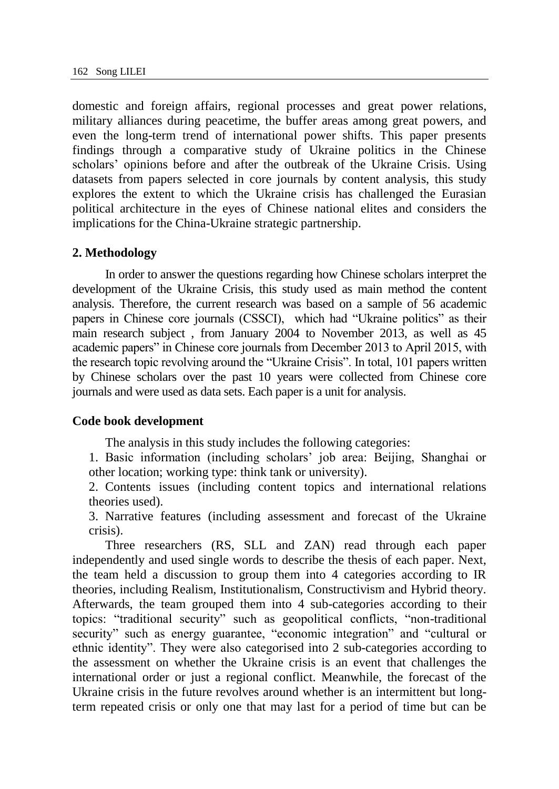domestic and foreign affairs, regional processes and great power relations, military alliances during peacetime, the buffer areas among great powers, and even the long-term trend of international power shifts. This paper presents findings through a comparative study of Ukraine politics in the Chinese scholars' opinions before and after the outbreak of the Ukraine Crisis. Using datasets from papers selected in core journals by content analysis, this study explores the extent to which the Ukraine crisis has challenged the Eurasian political architecture in the eyes of Chinese national elites and considers the implications for the China-Ukraine strategic partnership.

## **2. Methodology**

In order to answer the questions regarding how Chinese scholars interpret the development of the Ukraine Crisis, this study used as main method the content analysis. Therefore, the current research was based on a sample of 56 academic papers in Chinese core journals (CSSCI), which had "Ukraine politics" as their main research subject , from January 2004 to November 2013, as well as 45 academic papers" in Chinese core journals from December 2013 to April 2015, with the research topic revolving around the "Ukraine Crisis". In total, 101 papers written by Chinese scholars over the past 10 years were collected from Chinese core journals and were used as data sets. Each paper is a unit for analysis.

#### **Code book development**

The analysis in this study includes the following categories:

1. Basic information (including scholars' job area: Beijing, Shanghai or other location; working type: think tank or university).

2. Contents issues (including content topics and international relations theories used).

3. Narrative features (including assessment and forecast of the Ukraine crisis).

Three researchers (RS, SLL and ZAN) read through each paper independently and used single words to describe the thesis of each paper. Next, the team held a discussion to group them into 4 categories according to IR theories, including Realism, Institutionalism, Constructivism and Hybrid theory. Afterwards, the team grouped them into 4 sub-categories according to their topics: "traditional security" such as geopolitical conflicts, "non-traditional security" such as energy guarantee, "economic integration" and "cultural or ethnic identity". They were also categorised into 2 sub-categories according to the assessment on whether the Ukraine crisis is an event that challenges the international order or just a regional conflict. Meanwhile, the forecast of the Ukraine crisis in the future revolves around whether is an intermittent but longterm repeated crisis or only one that may last for a period of time but can be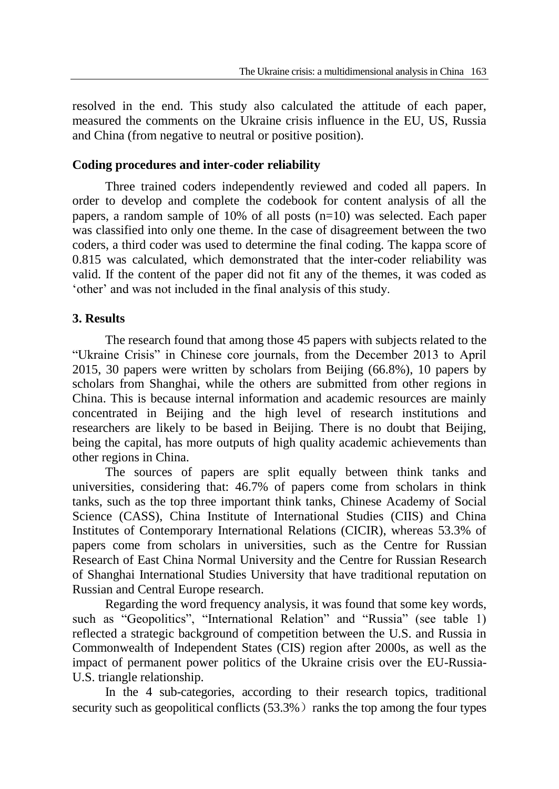resolved in the end. This study also calculated the attitude of each paper, measured the comments on the Ukraine crisis influence in the EU, US, Russia and China (from negative to neutral or positive position).

## **Coding procedures and inter-coder reliability**

Three trained coders independently reviewed and coded all papers. In order to develop and complete the codebook for content analysis of all the papers, a random sample of 10% of all posts (n=10) was selected. Each paper was classified into only one theme. In the case of disagreement between the two coders, a third coder was used to determine the final coding. The kappa score of 0.815 was calculated, which demonstrated that the inter-coder reliability was valid. If the content of the paper did not fit any of the themes, it was coded as 'other' and was not included in the final analysis of this study.

# **3. Results**

The research found that among those 45 papers with subjects related to the "Ukraine Crisis" in Chinese core journals, from the December 2013 to April 2015, 30 papers were written by scholars from Beijing (66.8%), 10 papers by scholars from Shanghai, while the others are submitted from other regions in China. This is because internal information and academic resources are mainly concentrated in Beijing and the high level of research institutions and researchers are likely to be based in Beijing. There is no doubt that Beijing, being the capital, has more outputs of high quality academic achievements than other regions in China.

The sources of papers are split equally between think tanks and universities, considering that: 46.7% of papers come from scholars in think tanks, such as the top three important think tanks, Chinese Academy of Social Science (CASS), China Institute of International Studies (CIIS) and China Institutes of Contemporary International Relations (CICIR), whereas 53.3% of papers come from scholars in universities, such as the Centre for Russian Research of East China Normal University and the Centre for Russian Research of Shanghai International Studies University that have traditional reputation on Russian and Central Europe research.

Regarding the word frequency analysis, it was found that some key words, such as "Geopolitics", "International Relation" and "Russia" (see table 1) reflected a strategic background of competition between the U.S. and Russia in Commonwealth of Independent States (CIS) region after 2000s, as well as the impact of permanent power politics of the Ukraine crisis over the EU-Russia-U.S. triangle relationship.

In the 4 sub-categories, according to their research topics, traditional security such as geopolitical conflicts  $(53.3\%)$  ranks the top among the four types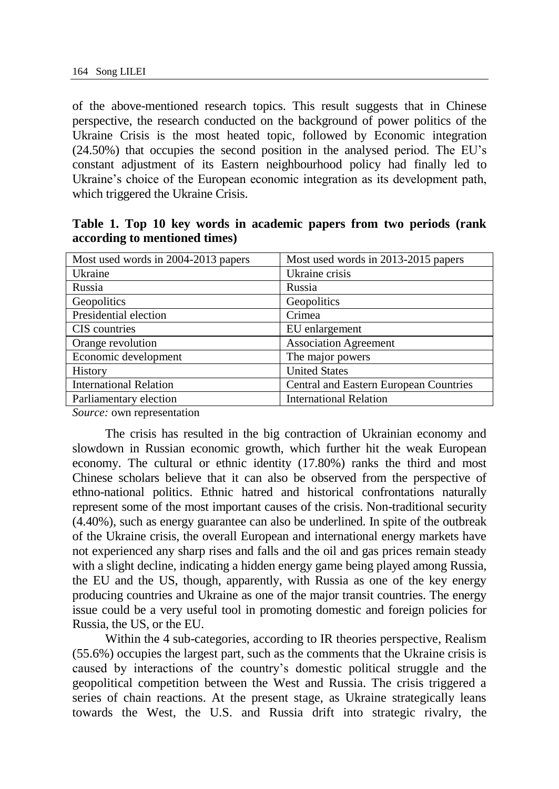of the above-mentioned research topics. This result suggests that in Chinese perspective, the research conducted on the background of power politics of the Ukraine Crisis is the most heated topic, followed by Economic integration (24.50%) that occupies the second position in the analysed period. The EU's constant adjustment of its Eastern neighbourhood policy had finally led to Ukraine's choice of the European economic integration as its development path, which triggered the Ukraine Crisis.

| Most used words in 2004-2013 papers | Most used words in 2013-2015 papers    |  |
|-------------------------------------|----------------------------------------|--|
| Ukraine                             | Ukraine crisis                         |  |
| Russia                              | Russia                                 |  |
| Geopolitics                         | Geopolitics                            |  |
| Presidential election               | Crimea                                 |  |
| CIS countries                       | EU enlargement                         |  |
| Orange revolution                   | <b>Association Agreement</b>           |  |
| Economic development                | The major powers                       |  |
| <b>History</b>                      | <b>United States</b>                   |  |
| <b>International Relation</b>       | Central and Eastern European Countries |  |
| Parliamentary election              | International Relation                 |  |

**Table 1. Top 10 key words in academic papers from two periods (rank according to mentioned times)**

*Source:* own representation

The crisis has resulted in the big contraction of Ukrainian economy and slowdown in Russian economic growth, which further hit the weak European economy. The cultural or ethnic identity (17.80%) ranks the third and most Chinese scholars believe that it can also be observed from the perspective of ethno-national politics. Ethnic hatred and historical confrontations naturally represent some of the most important causes of the crisis. Non-traditional security (4.40%), such as energy guarantee can also be underlined. In spite of the outbreak of the Ukraine crisis, the overall European and international energy markets have not experienced any sharp rises and falls and the oil and gas prices remain steady with a slight decline, indicating a hidden energy game being played among Russia, the EU and the US, though, apparently, with Russia as one of the key energy producing countries and Ukraine as one of the major transit countries. The energy issue could be a very useful tool in promoting domestic and foreign policies for Russia, the US, or the EU.

Within the 4 sub-categories, according to IR theories perspective, Realism (55.6%) occupies the largest part, such as the comments that the Ukraine crisis is caused by interactions of the country's domestic political struggle and the geopolitical competition between the West and Russia. The crisis triggered a series of chain reactions. At the present stage, as Ukraine strategically leans towards the West, the U.S. and Russia drift into strategic rivalry, the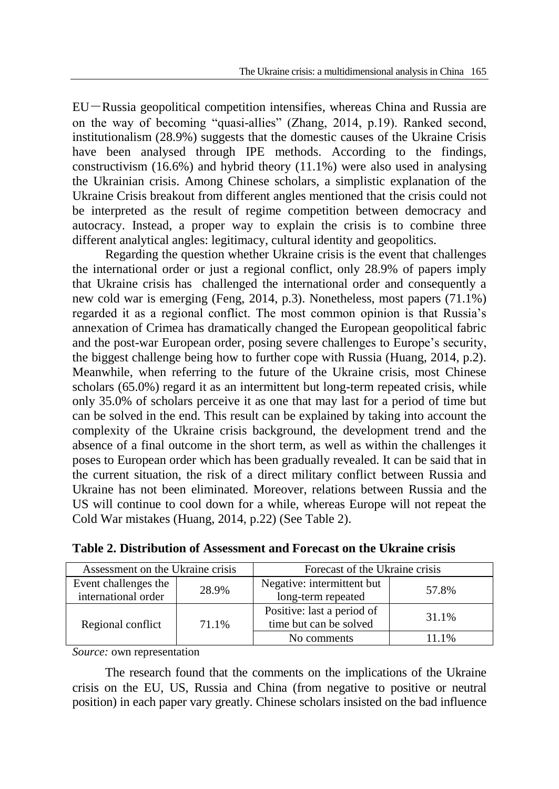EU-Russia geopolitical competition intensifies, whereas China and Russia are on the way of becoming "quasi-allies" (Zhang, 2014, p.19). Ranked second, institutionalism (28.9%) suggests that the domestic causes of the Ukraine Crisis have been analysed through IPE methods. According to the findings, constructivism (16.6%) and hybrid theory (11.1%) were also used in analysing the Ukrainian crisis. Among Chinese scholars, a simplistic explanation of the Ukraine Crisis breakout from different angles mentioned that the crisis could not be interpreted as the result of regime competition between democracy and autocracy. Instead, a proper way to explain the crisis is to combine three different analytical angles: legitimacy, cultural identity and geopolitics.

Regarding the question whether Ukraine crisis is the event that challenges the international order or just a regional conflict, only 28.9% of papers imply that Ukraine crisis has challenged the international order and consequently a new cold war is emerging (Feng, 2014, p.3). Nonetheless, most papers (71.1%) regarded it as a regional conflict. The most common opinion is that Russia's annexation of Crimea has dramatically changed the European geopolitical fabric and the post-war European order, posing severe challenges to Europe's security, the biggest challenge being how to further cope with Russia (Huang, 2014, p.2). Meanwhile, when referring to the future of the Ukraine crisis, most Chinese scholars (65.0%) regard it as an intermittent but long-term repeated crisis, while only 35.0% of scholars perceive it as one that may last for a period of time but can be solved in the end. This result can be explained by taking into account the complexity of the Ukraine crisis background, the development trend and the absence of a final outcome in the short term, as well as within the challenges it poses to European order which has been gradually revealed. It can be said that in the current situation, the risk of a direct military conflict between Russia and Ukraine has not been eliminated. Moreover, relations between Russia and the US will continue to cool down for a while, whereas Europe will not repeat the Cold War mistakes (Huang, 2014, p.22) (See Table 2).

| Assessment on the Ukraine crisis |       | Forecast of the Ukraine crisis |       |
|----------------------------------|-------|--------------------------------|-------|
| Event challenges the             | 28.9% | Negative: intermittent but     | 57.8% |
| international order              |       | long-term repeated             |       |
| Regional conflict                |       | Positive: last a period of     | 31.1% |
|                                  | 71.1% | time but can be solved         |       |
|                                  |       | No comments                    | 11 1% |

**Table 2. Distribution of Assessment and Forecast on the Ukraine crisis**

*Source:* own representation

The research found that the comments on the implications of the Ukraine crisis on the EU, US, Russia and China (from negative to positive or neutral position) in each paper vary greatly. Chinese scholars insisted on the bad influence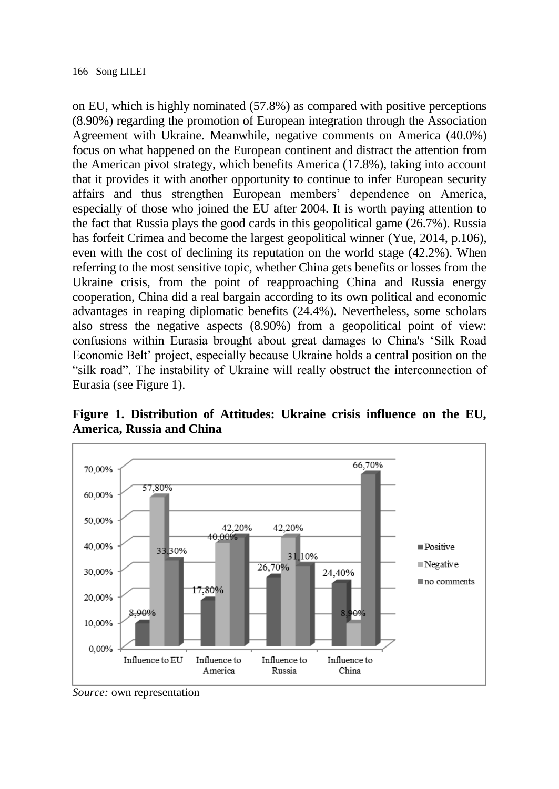on EU, which is highly nominated (57.8%) as compared with positive perceptions (8.90%) regarding the promotion of European integration through the Association Agreement with Ukraine. Meanwhile, negative comments on America (40.0%) focus on what happened on the European continent and distract the attention from the American pivot strategy, which benefits America (17.8%), taking into account that it provides it with another opportunity to continue to infer European security affairs and thus strengthen European members' dependence on America, especially of those who joined the EU after 2004. It is worth paying attention to the fact that Russia plays the good cards in this geopolitical game (26.7%). Russia has forfeit Crimea and become the largest geopolitical winner (Yue, 2014, p.106), even with the cost of declining its reputation on the world stage (42.2%). When referring to the most sensitive topic, whether China gets benefits or losses from the Ukraine crisis, from the point of reapproaching China and Russia energy cooperation, China did a real bargain according to its own political and economic advantages in reaping diplomatic benefits (24.4%). Nevertheless, some scholars also stress the negative aspects (8.90%) from a geopolitical point of view: confusions within Eurasia brought about great damages to China's 'Silk Road Economic Belt' project, especially because Ukraine holds a central position on the "silk road". The instability of Ukraine will really obstruct the interconnection of Eurasia (see Figure 1).

**Figure 1. Distribution of Attitudes: Ukraine crisis influence on the EU, America, Russia and China**



*Source:* own representation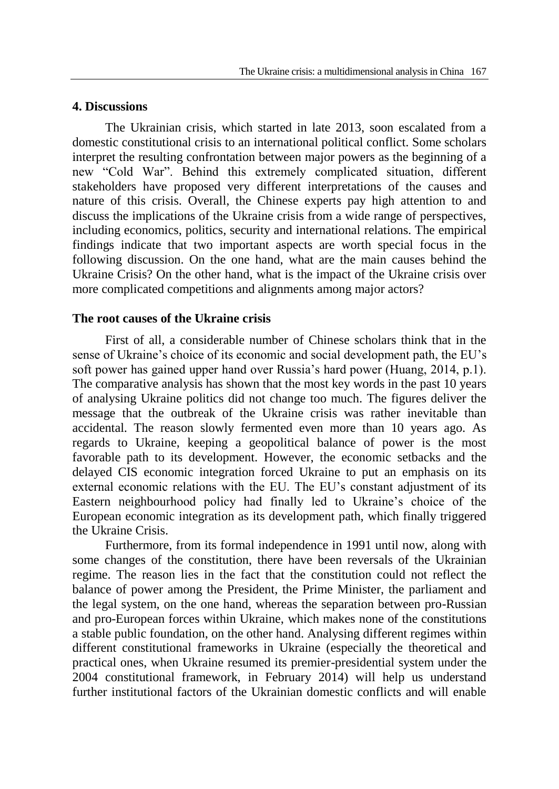## **4. Discussions**

The Ukrainian crisis, which started in late 2013, soon escalated from a domestic constitutional crisis to an international political conflict. Some scholars interpret the resulting confrontation between major powers as the beginning of a new "Cold War". Behind this extremely complicated situation, different stakeholders have proposed very different interpretations of the causes and nature of this crisis. Overall, the Chinese experts pay high attention to and discuss the implications of the Ukraine crisis from a wide range of perspectives, including economics, politics, security and international relations. The empirical findings indicate that two important aspects are worth special focus in the following discussion. On the one hand, what are the main causes behind the Ukraine Crisis? On the other hand, what is the impact of the Ukraine crisis over more complicated competitions and alignments among major actors?

## **The root causes of the Ukraine crisis**

First of all, a considerable number of Chinese scholars think that in the sense of Ukraine's choice of its economic and social development path, the EU's soft power has gained upper hand over Russia's hard power (Huang, 2014, p.1). The comparative analysis has shown that the most key words in the past 10 years of analysing Ukraine politics did not change too much. The figures deliver the message that the outbreak of the Ukraine crisis was rather inevitable than accidental. The reason slowly fermented even more than 10 years ago. As regards to Ukraine, keeping a geopolitical balance of power is the most favorable path to its development. However, the economic setbacks and the delayed CIS economic integration forced Ukraine to put an emphasis on its external economic relations with the EU. The EU's constant adjustment of its Eastern neighbourhood policy had finally led to Ukraine's choice of the European economic integration as its development path, which finally triggered the Ukraine Crisis.

Furthermore, from its formal independence in 1991 until now, along with some changes of the constitution, there have been reversals of the Ukrainian regime. The reason lies in the fact that the constitution could not reflect the balance of power among the President, the Prime Minister, the parliament and the legal system, on the one hand, whereas the separation between pro-Russian and pro-European forces within Ukraine, which makes none of the constitutions a stable public foundation, on the other hand. Analysing different regimes within different constitutional frameworks in Ukraine (especially the theoretical and practical ones, when Ukraine resumed its premier-presidential system under the 2004 constitutional framework, in February 2014) will help us understand further institutional factors of the Ukrainian domestic conflicts and will enable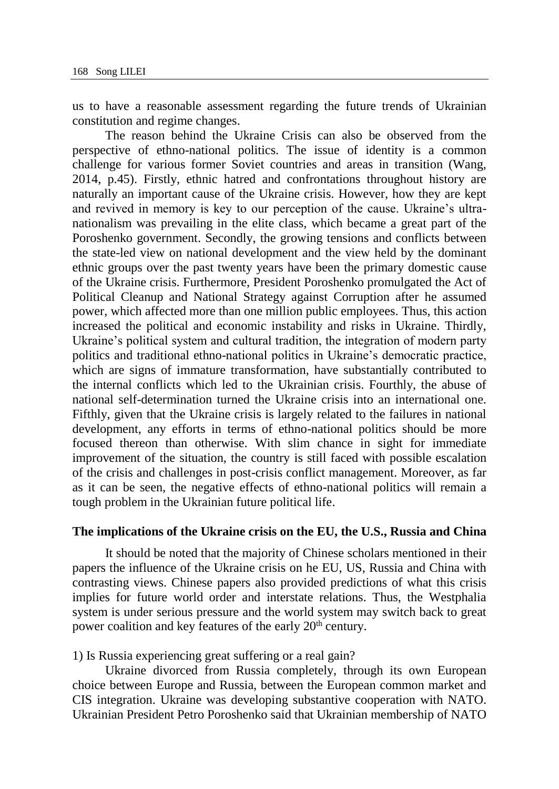us to have a reasonable assessment regarding the future trends of Ukrainian constitution and regime changes.

The reason behind the Ukraine Crisis can also be observed from the perspective of ethno-national politics. The issue of identity is a common challenge for various former Soviet countries and areas in transition (Wang, 2014, p.45). Firstly, ethnic hatred and confrontations throughout history are naturally an important cause of the Ukraine crisis. However, how they are kept and revived in memory is key to our perception of the cause. Ukraine's ultranationalism was prevailing in the elite class, which became a great part of the Poroshenko government. Secondly, the growing tensions and conflicts between the state-led view on national development and the view held by the dominant ethnic groups over the past twenty years have been the primary domestic cause of the Ukraine crisis. Furthermore, President Poroshenko promulgated the Act of Political Cleanup and National Strategy against Corruption after he assumed power, which affected more than one million public employees. Thus, this action increased the political and economic instability and risks in Ukraine. Thirdly, Ukraine's political system and cultural tradition, the integration of modern party politics and traditional ethno-national politics in Ukraine's democratic practice, which are signs of immature transformation, have substantially contributed to the internal conflicts which led to the Ukrainian crisis. Fourthly, the abuse of national self-determination turned the Ukraine crisis into an international one. Fifthly, given that the Ukraine crisis is largely related to the failures in national development, any efforts in terms of ethno-national politics should be more focused thereon than otherwise. With slim chance in sight for immediate improvement of the situation, the country is still faced with possible escalation of the crisis and challenges in post-crisis conflict management. Moreover, as far as it can be seen, the negative effects of ethno-national politics will remain a tough problem in the Ukrainian future political life.

#### **The implications of the Ukraine crisis on the EU, the U.S., Russia and China**

It should be noted that the majority of Chinese scholars mentioned in their papers the influence of the Ukraine crisis on he EU, US, Russia and China with contrasting views. Chinese papers also provided predictions of what this crisis implies for future world order and interstate relations. Thus, the Westphalia system is under serious pressure and the world system may switch back to great power coalition and key features of the early 20<sup>th</sup> century.

1) Is Russia experiencing great suffering or a real gain?

Ukraine divorced from Russia completely, through its own European choice between Europe and Russia, between the European common market and CIS integration. Ukraine was developing substantive cooperation with NATO. Ukrainian President Petro Poroshenko said that Ukrainian membership of NATO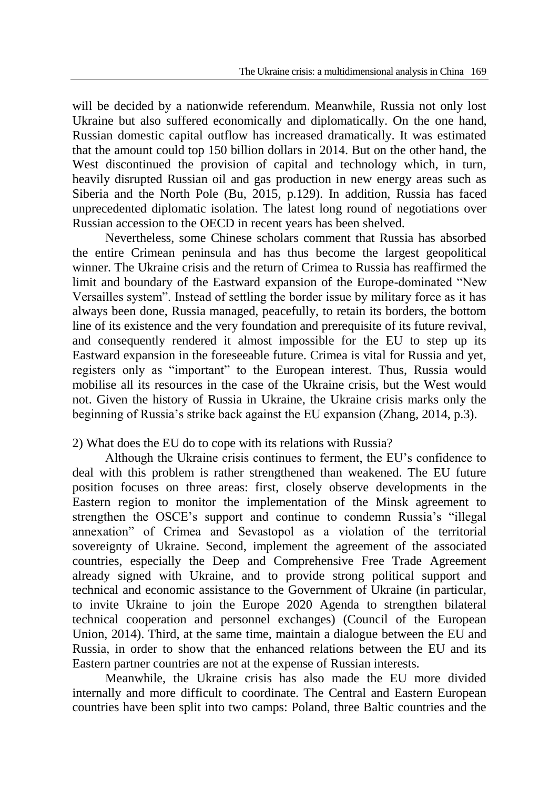will be decided by a nationwide referendum. Meanwhile, Russia not only lost Ukraine but also suffered economically and diplomatically. On the one hand, Russian domestic capital outflow has increased dramatically. It was estimated that the amount could top 150 billion dollars in 2014. But on the other hand, the West discontinued the provision of capital and technology which, in turn, heavily disrupted Russian oil and gas production in new energy areas such as Siberia and the North Pole (Bu, 2015, p.129). In addition, Russia has faced unprecedented diplomatic isolation. The latest long round of negotiations over Russian accession to the OECD in recent years has been shelved.

Nevertheless, some Chinese scholars comment that Russia has absorbed the entire Crimean peninsula and has thus become the largest geopolitical winner. The Ukraine crisis and the return of Crimea to Russia has reaffirmed the limit and boundary of the Eastward expansion of the Europe-dominated "New Versailles system". Instead of settling the border issue by military force as it has always been done, Russia managed, peacefully, to retain its borders, the bottom line of its existence and the very foundation and prerequisite of its future revival, and consequently rendered it almost impossible for the EU to step up its Eastward expansion in the foreseeable future. Crimea is vital for Russia and yet, registers only as "important" to the European interest. Thus, Russia would mobilise all its resources in the case of the Ukraine crisis, but the West would not. Given the history of Russia in Ukraine, the Ukraine crisis marks only the beginning of Russia's strike back against the EU expansion (Zhang, 2014, p.3).

# 2) What does the EU do to cope with its relations with Russia?

Although the Ukraine crisis continues to ferment, the EU's confidence to deal with this problem is rather strengthened than weakened. The EU future position focuses on three areas: first, closely observe developments in the Eastern region to monitor the implementation of the Minsk agreement to strengthen the OSCE's support and continue to condemn Russia's "illegal annexation" of Crimea and Sevastopol as a violation of the territorial sovereignty of Ukraine. Second, implement the agreement of the associated countries, especially the Deep and Comprehensive Free Trade Agreement already signed with Ukraine, and to provide strong political support and technical and economic assistance to the Government of Ukraine (in particular, to invite Ukraine to join the Europe 2020 Agenda to strengthen bilateral technical cooperation and personnel exchanges) (Council of the European Union, 2014). Third, at the same time, maintain a dialogue between the EU and Russia, in order to show that the enhanced relations between the EU and its Eastern partner countries are not at the expense of Russian interests.

Meanwhile, the Ukraine crisis has also made the EU more divided internally and more difficult to coordinate. The Central and Eastern European countries have been split into two camps: Poland, three Baltic countries and the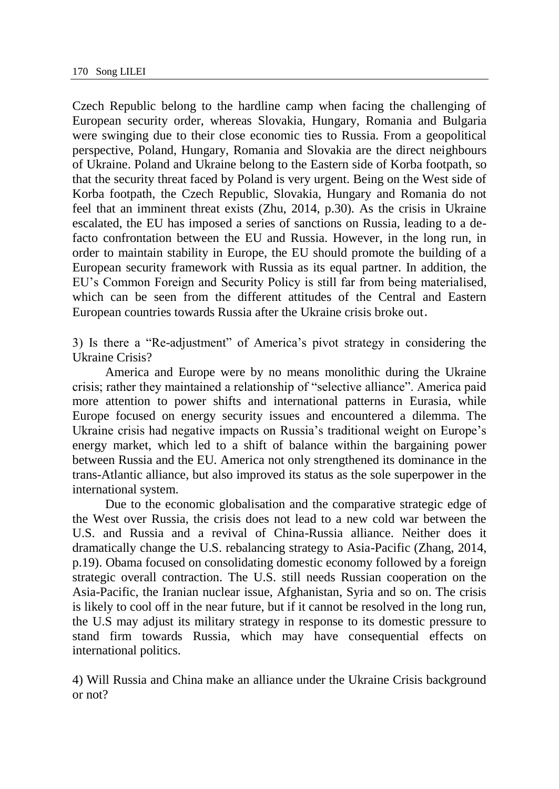Czech Republic belong to the hardline camp when facing the challenging of European security order, whereas Slovakia, Hungary, Romania and Bulgaria were swinging due to their close economic ties to Russia. From a geopolitical perspective, Poland, Hungary, Romania and Slovakia are the direct neighbours of Ukraine. Poland and Ukraine belong to the Eastern side of Korba footpath, so that the security threat faced by Poland is very urgent. Being on the West side of Korba footpath, the Czech Republic, Slovakia, Hungary and Romania do not feel that an imminent threat exists (Zhu, 2014, p.30). As the crisis in Ukraine escalated, the EU has imposed a series of sanctions on Russia, leading to a defacto confrontation between the EU and Russia. However, in the long run, in order to maintain stability in Europe, the EU should promote the building of a European security framework with Russia as its equal partner. In addition, the EU's Common Foreign and Security Policy is still far from being materialised, which can be seen from the different attitudes of the Central and Eastern European countries towards Russia after the Ukraine crisis broke out.

3) Is there a "Re-adjustment" of America's pivot strategy in considering the Ukraine Crisis?

America and Europe were by no means monolithic during the Ukraine crisis; rather they maintained a relationship of "selective alliance". America paid more attention to power shifts and international patterns in Eurasia, while Europe focused on energy security issues and encountered a dilemma. The Ukraine crisis had negative impacts on Russia's traditional weight on Europe's energy market, which led to a shift of balance within the bargaining power between Russia and the EU. America not only strengthened its dominance in the trans-Atlantic alliance, but also improved its status as the sole superpower in the international system.

Due to the economic globalisation and the comparative strategic edge of the West over Russia, the crisis does not lead to a new cold war between the U.S. and Russia and a revival of China-Russia alliance. Neither does it dramatically change the U.S. rebalancing strategy to Asia-Pacific (Zhang, 2014, p.19). Obama focused on consolidating domestic economy followed by a foreign strategic overall contraction. The U.S. still needs Russian cooperation on the Asia-Pacific, the Iranian nuclear issue, Afghanistan, Syria and so on. The crisis is likely to cool off in the near future, but if it cannot be resolved in the long run, the U.S may adjust its military strategy in response to its domestic pressure to stand firm towards Russia, which may have consequential effects on international politics.

4) Will Russia and China make an alliance under the Ukraine Crisis background or not?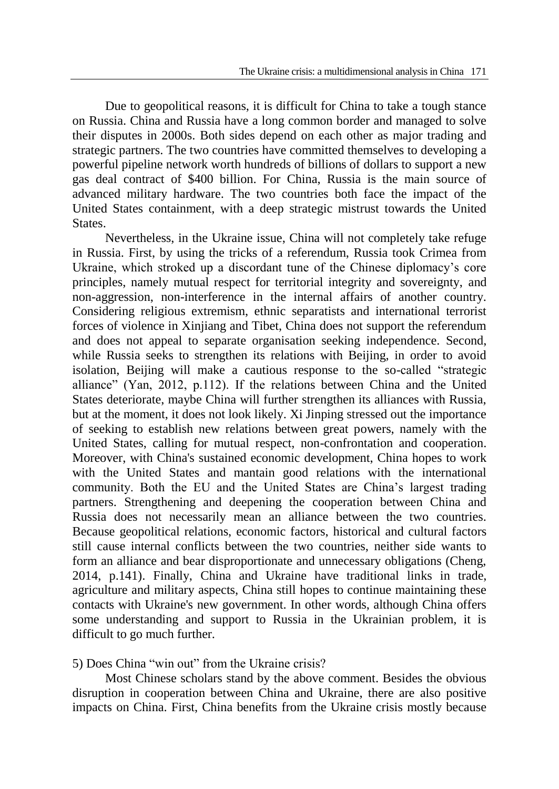Due to geopolitical reasons, it is difficult for China to take a tough stance on Russia. China and Russia have a long common border and managed to solve their disputes in 2000s. Both sides depend on each other as major trading and strategic partners. The two countries have committed themselves to developing a powerful pipeline network worth hundreds of billions of dollars to support a new gas deal contract of \$400 billion. For China, Russia is the main source of advanced military hardware. The two countries both face the impact of the United States containment, with a deep strategic mistrust towards the United States.

Nevertheless, in the Ukraine issue, China will not completely take refuge in Russia. First, by using the tricks of a referendum, Russia took Crimea from Ukraine, which stroked up a discordant tune of the Chinese diplomacy's core principles, namely mutual respect for territorial integrity and sovereignty, and non-aggression, non-interference in the internal affairs of another country. Considering religious extremism, ethnic separatists and international terrorist forces of violence in Xinjiang and Tibet, China does not support the referendum and does not appeal to separate organisation seeking independence. Second, while Russia seeks to strengthen its relations with Beijing, in order to avoid isolation, Beijing will make a cautious response to the so-called "strategic alliance" (Yan, 2012, p.112). If the relations between China and the United States deteriorate, maybe China will further strengthen its alliances with Russia, but at the moment, it does not look likely. Xi Jinping stressed out the importance of seeking to establish new relations between great powers, namely with the United States, calling for mutual respect, non-confrontation and cooperation. Moreover, with China's sustained economic development, China hopes to work with the United States and mantain good relations with the international community. Both the EU and the United States are China's largest trading partners. Strengthening and deepening the cooperation between China and Russia does not necessarily mean an alliance between the two countries. Because geopolitical relations, economic factors, historical and cultural factors still cause internal conflicts between the two countries, neither side wants to form an alliance and bear disproportionate and unnecessary obligations (Cheng, 2014, p.141). Finally, China and Ukraine have traditional links in trade, agriculture and military aspects, China still hopes to continue maintaining these contacts with Ukraine's new government. In other words, although China offers some understanding and support to Russia in the Ukrainian problem, it is difficult to go much further.

5) Does China "win out" from the Ukraine crisis?

Most Chinese scholars stand by the above comment. Besides the obvious disruption in cooperation between China and Ukraine, there are also positive impacts on China. First, China benefits from the Ukraine crisis mostly because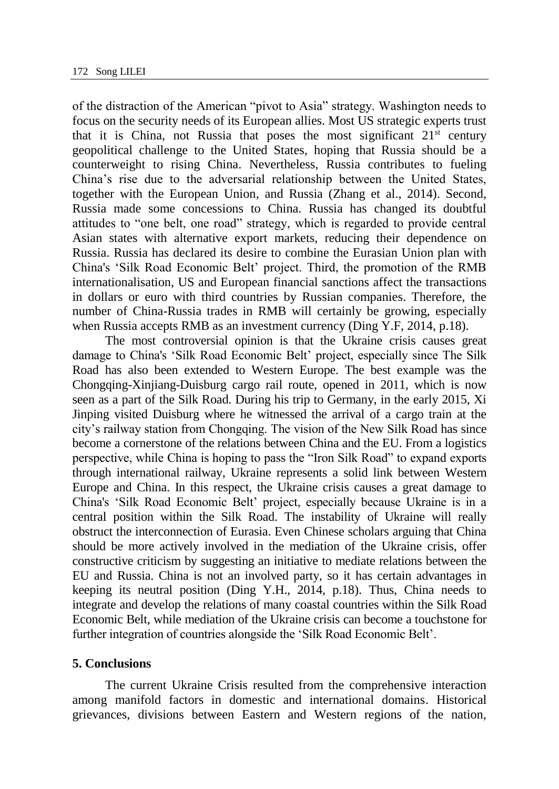of the distraction of the American "pivot to Asia" strategy. Washington needs to focus on the security needs of its European allies. Most US strategic experts trust that it is China, not Russia that poses the most significant  $21<sup>st</sup>$  century geopolitical challenge to the United States, hoping that Russia should be a counterweight to rising China. Nevertheless, Russia contributes to fueling China's rise due to the adversarial relationship between the United States, together with the European Union, and Russia (Zhang et al., 2014). Second, Russia made some concessions to China. Russia has changed its doubtful attitudes to "one belt, one road" strategy, which is regarded to provide central Asian states with alternative export markets, reducing their dependence on Russia. Russia has declared its desire to combine the Eurasian Union plan with China's 'Silk Road Economic Belt' project. Third, the promotion of the RMB internationalisation, US and European financial sanctions affect the transactions in dollars or euro with third countries by Russian companies. Therefore, the number of China-Russia trades in RMB will certainly be growing, especially when Russia accepts RMB as an investment currency (Ding Y.F, 2014, p.18).

The most controversial opinion is that the Ukraine crisis causes great damage to China's 'Silk Road Economic Belt' project, especially since The Silk Road has also been extended to Western Europe. The best example was the Chongqing-Xinjiang-Duisburg cargo rail route, opened in 2011, which is now seen as a part of the Silk Road. During his trip to Germany, in the early 2015, Xi Jinping visited Duisburg where he witnessed the arrival of a cargo train at the city's railway station from Chongqing. The vision of the New Silk Road has since become a cornerstone of the relations between China and the EU. From a logistics perspective, while China is hoping to pass the "Iron Silk Road" to expand exports through international railway, Ukraine represents a solid link between Western Europe and China. In this respect, the Ukraine crisis causes a great damage to China's 'Silk Road Economic Belt' project, especially because Ukraine is in a central position within the Silk Road. The instability of Ukraine will really obstruct the interconnection of Eurasia. Even Chinese scholars arguing that China should be more actively involved in the mediation of the Ukraine crisis, offer constructive criticism by suggesting an initiative to mediate relations between the EU and Russia. China is not an involved party, so it has certain advantages in keeping its neutral position (Ding Y.H., 2014, p.18). Thus, China needs to integrate and develop the relations of many coastal countries within the Silk Road Economic Belt, while mediation of the Ukraine crisis can become a touchstone for further integration of countries alongside the 'Silk Road Economic Belt'.

## **5. Conclusions**

The current Ukraine Crisis resulted from the comprehensive interaction among manifold factors in domestic and international domains. Historical grievances, divisions between Eastern and Western regions of the nation,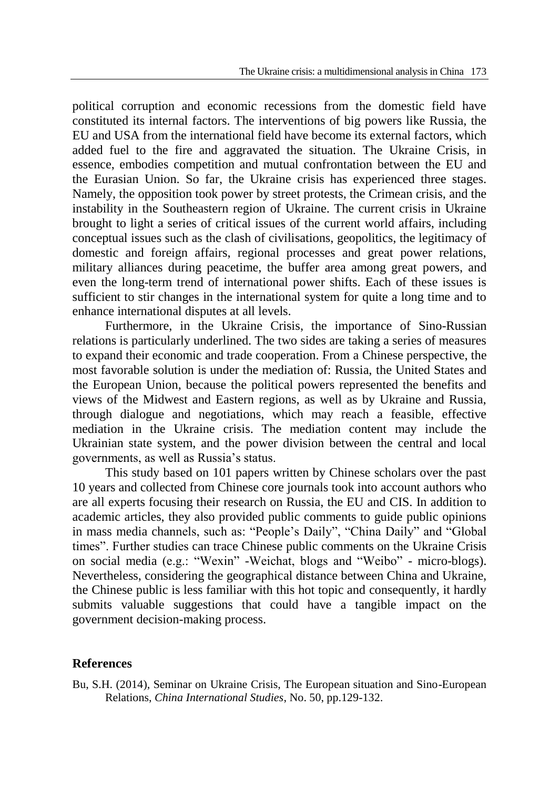political corruption and economic recessions from the domestic field have constituted its internal factors. The interventions of big powers like Russia, the EU and USA from the international field have become its external factors, which added fuel to the fire and aggravated the situation. The Ukraine Crisis, in essence, embodies competition and mutual confrontation between the EU and the Eurasian Union. So far, the Ukraine crisis has experienced three stages. Namely, the opposition took power by street protests, the Crimean crisis, and the instability in the Southeastern region of Ukraine. The current crisis in Ukraine brought to light a series of critical issues of the current world affairs, including conceptual issues such as the clash of civilisations, geopolitics, the legitimacy of domestic and foreign affairs, regional processes and great power relations, military alliances during peacetime, the buffer area among great powers, and even the long-term trend of international power shifts. Each of these issues is sufficient to stir changes in the international system for quite a long time and to enhance international disputes at all levels.

Furthermore, in the Ukraine Crisis, the importance of Sino-Russian relations is particularly underlined. The two sides are taking a series of measures to expand their economic and trade cooperation. From a Chinese perspective, the most favorable solution is under the mediation of: Russia, the United States and the European Union, because the political powers represented the benefits and views of the Midwest and Eastern regions, as well as by Ukraine and Russia, through dialogue and negotiations, which may reach a feasible, effective mediation in the Ukraine crisis. The mediation content may include the Ukrainian state system, and the power division between the central and local governments, as well as Russia's status.

This study based on 101 papers written by Chinese scholars over the past 10 years and collected from Chinese core journals took into account authors who are all experts focusing their research on Russia, the EU and CIS. In addition to academic articles, they also provided public comments to guide public opinions in mass media channels, such as: "People's Daily", "China Daily" and "Global times". Further studies can trace Chinese public comments on the Ukraine Crisis on social media (e.g.: "Wexin" -Weichat, blogs and "Weibo" - micro-blogs). Nevertheless, considering the geographical distance between China and Ukraine, the Chinese public is less familiar with this hot topic and consequently, it hardly submits valuable suggestions that could have a tangible impact on the government decision-making process.

## **References**

Bu, S.H. (2014), Seminar on Ukraine Crisis, The European situation and Sino-European Relations, *China International Studies*, No. 50, pp.129-132.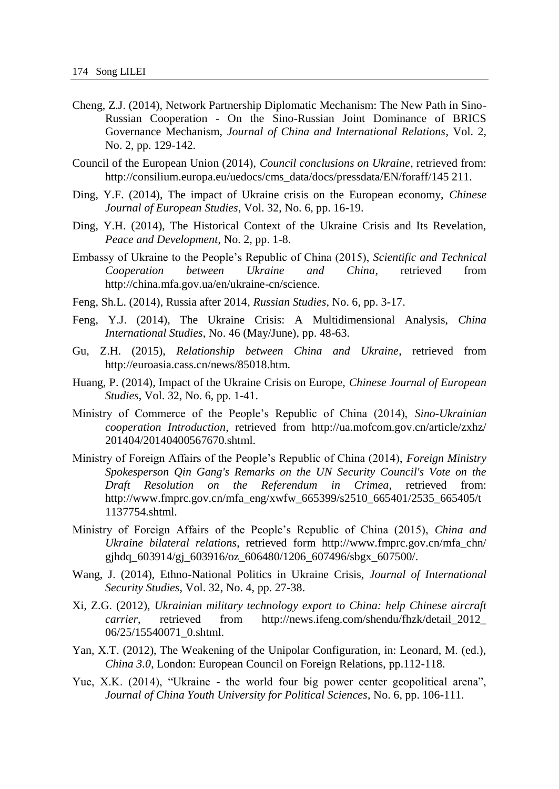- Cheng, Z.J. (2014), Network Partnership Diplomatic Mechanism: The New Path in Sino-Russian Cooperation - On the Sino-Russian Joint Dominance of BRICS Governance Mechanism, *Journal of China and International Relations*, Vol. 2, No. 2, pp. 129-142.
- Council of the European Union (2014), *Council conclusions on Ukraine*, retrieved from: http://consilium.europa.eu/uedocs/cms\_data/docs/pressdata/EN/foraff/145 211.
- Ding, Y.F. (2014), The impact of Ukraine crisis on the European economy, *Chinese Journal of European Studies*, Vol. 32, No. 6, pp. 16-19.
- Ding, Y.H. (2014), The Historical Context of the Ukraine Crisis and Its Revelation, *Peace and Development*, No. 2, pp. 1-8.
- Embassy of Ukraine to the People's Republic of China (2015), *Scientific and Technical Cooperation between Ukraine and China*, retrieved from http://china.mfa.gov.ua/en/ukraine-cn/science.
- Feng, Sh.L. (2014), Russia after 2014, *Russian Studies*, No. 6, pp. 3-17.
- Feng, Y.J. (2014), The Ukraine Crisis: A Multidimensional Analysis, *China International Studies*, No. 46 (May/June), pp. 48-63.
- Gu, Z.H. (2015), *Relationship between China and Ukraine*, retrieved from http://euroasia.cass.cn/news/85018.htm.
- Huang, P. (2014), Impact of the Ukraine Crisis on Europe, *Chinese Journal of European Studies*, Vol. 32, No. 6, pp. 1-41.
- Ministry of Commerce of the People's Republic of China (2014), *Sino-Ukrainian cooperation Introduction*, retrieved from http://ua.mofcom.gov.cn/article/zxhz/ 201404/20140400567670.shtml.
- Ministry of Foreign Affairs of the People's Republic of China (2014), *Foreign Ministry Spokesperson Qin Gang's Remarks on the UN Security Council's Vote on the Draft Resolution on the Referendum in Crimea*, retrieved from: http://www.fmprc.gov.cn/mfa\_eng/xwfw\_665399/s2510\_665401/2535\_665405/t 1137754.shtml.
- Ministry of Foreign Affairs of the People's Republic of China (2015), *China and Ukraine bilateral relations*, retrieved form http://www.fmprc.gov.cn/mfa\_chn/ gjhdq 603914/gj 603916/oz 606480/1206 607496/sbgx 607500/.
- Wang, J. (2014), Ethno-National Politics in Ukraine Crisis, *Journal of International Security Studies*, Vol. 32, No. 4, pp. 27-38.
- Xi, Z.G. (2012), *Ukrainian military technology export to China: help Chinese aircraft carrier*, retrieved from http://news.ifeng.com/shendu/fhzk/detail 2012 06/25/15540071\_0.shtml.
- Yan, X.T. (2012), The Weakening of the Unipolar Configuration, in: Leonard, M. (ed.), *China 3.0*, London: European Council on Foreign Relations, pp.112-118.
- Yue, X.K. (2014), "Ukraine the world four big power center geopolitical arena", *Journal of China Youth University for Political Sciences*, No. 6, pp. 106-111.